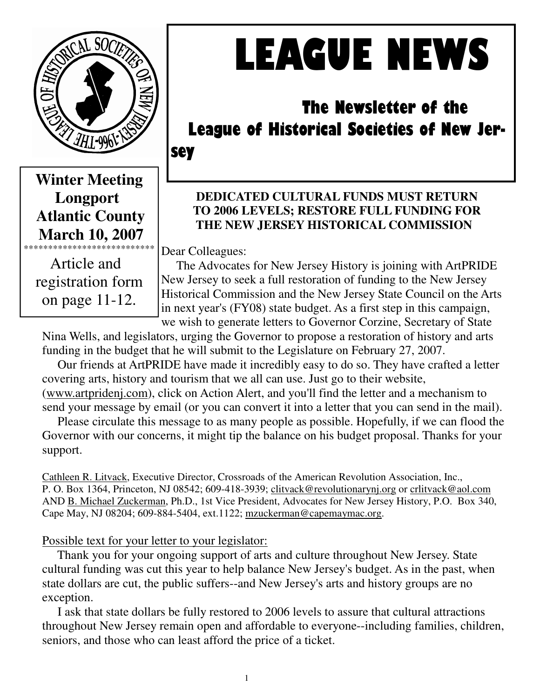

**Winter Meeting Longport Atlantic County March 10, 2007** 

 Article and registration form on page 11-12.

# LEAGUE NEWS

# The Newsletter of the League of Historical Societies of New Jersey

#### **DEDICATED CULTURAL FUNDS MUST RETURN TO 2006 LEVELS; RESTORE FULL FUNDING FOR THE NEW JERSEY HISTORICAL COMMISSION**

Dear Colleagues: \*\*\*\*\*\*\*\*\*\*\*\*\*\*\*\*\*\*\*\*\*\*\*\*\*\*\*

 The Advocates for New Jersey History is joining with ArtPRIDE New Jersey to seek a full restoration of funding to the New Jersey Historical Commission and the New Jersey State Council on the Arts in next year's (FY08) state budget. As a first step in this campaign, we wish to generate letters to Governor Corzine, Secretary of State

Nina Wells, and legislators, urging the Governor to propose a restoration of history and arts funding in the budget that he will submit to the Legislature on February 27, 2007.

 Our friends at ArtPRIDE have made it incredibly easy to do so. They have crafted a letter covering arts, history and tourism that we all can use. Just go to their website, (www.artpridenj.com), click on Action Alert, and you'll find the letter and a mechanism to send your message by email (or you can convert it into a letter that you can send in the mail).

 Please circulate this message to as many people as possible. Hopefully, if we can flood the Governor with our concerns, it might tip the balance on his budget proposal. Thanks for your support.

Cathleen R. Litvack, Executive Director, Crossroads of the American Revolution Association, Inc., P. O. Box 1364, Princeton, NJ 08542; 609-418-3939; clitvack@revolutionarynj.org or crlitvack@aol.com AND B. Michael Zuckerman, Ph.D., 1st Vice President, Advocates for New Jersey History, P.O. Box 340, Cape May, NJ 08204; 609-884-5404, ext.1122; mzuckerman@capemaymac.org.

#### Possible text for your letter to your legislator:

 Thank you for your ongoing support of arts and culture throughout New Jersey. State cultural funding was cut this year to help balance New Jersey's budget. As in the past, when state dollars are cut, the public suffers--and New Jersey's arts and history groups are no exception.

 I ask that state dollars be fully restored to 2006 levels to assure that cultural attractions throughout New Jersey remain open and affordable to everyone--including families, children, seniors, and those who can least afford the price of a ticket.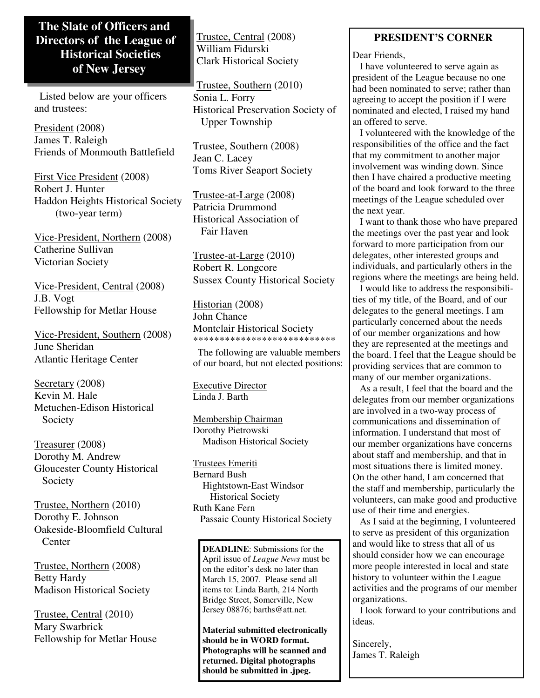#### **The Slate of Officers and Directors of the League of Historical Societies of New Jersey**

 Listed below are your officers and trustees:

President (2008) James T. Raleigh Friends of Monmouth Battlefield

First Vice President (2008) Robert J. Hunter Haddon Heights Historical Society (two-year term)

Vice-President, Northern (2008) Catherine Sullivan Victorian Society

Vice-President, Central (2008) J.B. Vogt Fellowship for Metlar House

Vice-President, Southern (2008) June Sheridan Atlantic Heritage Center

Secretary (2008) Kevin M. Hale Metuchen-Edison Historical Society

Treasurer (2008) Dorothy M. Andrew Gloucester County Historical Society

Trustee, Northern (2010) Dorothy E. Johnson Oakeside-Bloomfield Cultural **Center** 

Trustee, Northern (2008) Betty Hardy Madison Historical Society

Trustee, Central (2010) Mary Swarbrick Fellowship for Metlar House Trustee, Central (2008) William Fidurski Clark Historical Society

Trustee, Southern (2010) Sonia L. Forry Historical Preservation Society of Upper Township

Trustee, Southern (2008) Jean C. Lacey Toms River Seaport Society

Trustee-at-Large (2008) Patricia Drummond Historical Association of Fair Haven

Trustee-at-Large (2010) Robert R. Longcore Sussex County Historical Society

Historian (2008) John Chance Montclair Historical Society \*\*\*\*\*\*\*\*\*\*\*\*\*\*\*\*\*\*\*\*\*\*\*\*\*\*\*

 The following are valuable members of our board, but not elected positions:

Executive Director Linda J. Barth

Membership Chairman Dorothy Pietrowski Madison Historical Society

Trustees Emeriti Bernard Bush Hightstown-East Windsor Historical Society Ruth Kane Fern Passaic County Historical Society

**DEADLINE**: Submissions for the April issue of *League News* must be on the editor's desk no later than March 15, 2007. Please send all items to: Linda Barth, 214 North Bridge Street, Somerville, New Jersey 08876; barths@att.net.

2 **Material submitted electronically should be in WORD format. Photographs will be scanned and returned. Digital photographs should be submitted in .jpeg.** 

#### **PRESIDENT'S CORNER**

Dear Friends,

 I have volunteered to serve again as president of the League because no one had been nominated to serve; rather than agreeing to accept the position if I were nominated and elected, I raised my hand an offered to serve.

 I volunteered with the knowledge of the responsibilities of the office and the fact that my commitment to another major involvement was winding down. Since then I have chaired a productive meeting of the board and look forward to the three meetings of the League scheduled over the next year.

 I want to thank those who have prepared the meetings over the past year and look forward to more participation from our delegates, other interested groups and individuals, and particularly others in the regions where the meetings are being held.

 I would like to address the responsibilities of my title, of the Board, and of our delegates to the general meetings. I am particularly concerned about the needs of our member organizations and how they are represented at the meetings and the board. I feel that the League should be providing services that are common to many of our member organizations.

 As a result, I feel that the board and the delegates from our member organizations are involved in a two-way process of communications and dissemination of information. I understand that most of our member organizations have concerns about staff and membership, and that in most situations there is limited money. On the other hand, I am concerned that the staff and membership, particularly the volunteers, can make good and productive use of their time and energies.

 As I said at the beginning, I volunteered to serve as president of this organization and would like to stress that all of us should consider how we can encourage more people interested in local and state history to volunteer within the League activities and the programs of our member organizations.

 I look forward to your contributions and ideas.

Sincerely, James T. Raleigh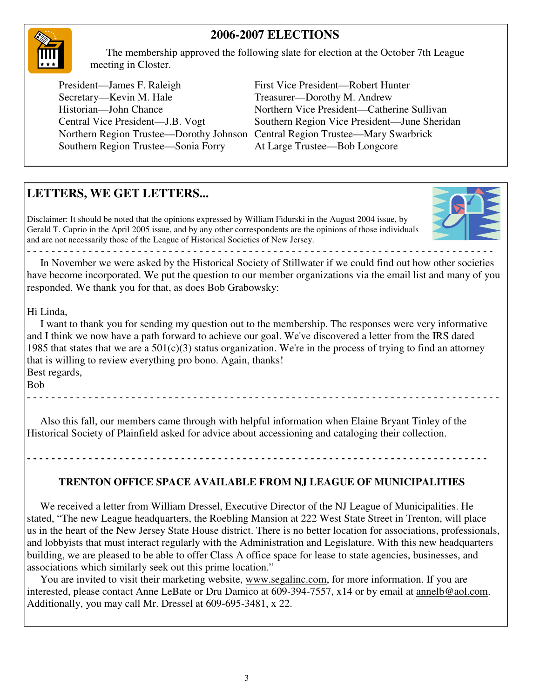#### **2006-2007 ELECTIONS**



 The membership approved the following slate for election at the October 7th League meeting in Closter.

President—James F. Raleigh First Vice President—Robert Hunter Secretary—Kevin M. Hale Treasurer—Dorothy M. Andrew Historian—John Chance Northern Vice President—Catherine Sullivan Northern Region Trustee—Dorothy Johnson Central Region Trustee—Mary Swarbrick Southern Region Trustee—Sonia Forry At Large Trustee—Bob Longcore

Central Vice President—J.B. Vogt Southern Region Vice President—June Sheridan

## **LETTERS, WE GET LETTERS...**

Disclaimer: It should be noted that the opinions expressed by William Fidurski in the August 2004 issue, by Gerald T. Caprio in the April 2005 issue, and by any other correspondents are the opinions of those individuals and are not necessarily those of the League of Historical Societies of New Jersey.



- - - - - - - - - - - - - - - - - - - - - - - - - - - - - - - - - - - - - - - - - - - - - - - - - - - - - - - - - - - - - - - - - - - - - - - - - - - - In November we were asked by the Historical Society of Stillwater if we could find out how other societies have become incorporated. We put the question to our member organizations via the email list and many of you responded. We thank you for that, as does Bob Grabowsky:

Hi Linda,

 I want to thank you for sending my question out to the membership. The responses were very informative and I think we now have a path forward to achieve our goal. We've discovered a letter from the IRS dated 1985 that states that we are a  $501(c)(3)$  status organization. We're in the process of trying to find an attorney that is willing to review everything pro bono. Again, thanks! Best regards,

Bob

- - - - - - - - - - - - - - - - - - - - - - - - - - - - - - - - - - - - - - - - - - - - - - - - - - - - - - - - - - - - - - - - - - - - - - - - - - - - -

 Also this fall, our members came through with helpful information when Elaine Bryant Tinley of the Historical Society of Plainfield asked for advice about accessioning and cataloging their collection.

**- - - - - - - - - - - - - - - - - - - - - - - - - - - - - - - - - - - - - - - - - - - - - - - - - - - - - - - - - - - - - - - - - - - - - - - - - - -** 

#### **TRENTON OFFICE SPACE AVAILABLE FROM NJ LEAGUE OF MUNICIPALITIES**

 We received a letter from William Dressel, Executive Director of the NJ League of Municipalities. He stated, "The new League headquarters, the Roebling Mansion at 222 West State Street in Trenton, will place us in the heart of the New Jersey State House district. There is no better location for associations, professionals, and lobbyists that must interact regularly with the Administration and Legislature. With this new headquarters building, we are pleased to be able to offer Class A office space for lease to state agencies, businesses, and associations which similarly seek out this prime location."

 You are invited to visit their marketing website, www.segalinc.com, for more information. If you are interested, please contact Anne LeBate or Dru Damico at 609-394-7557, x14 or by email at annelb@aol.com. Additionally, you may call Mr. Dressel at 609-695-3481, x 22.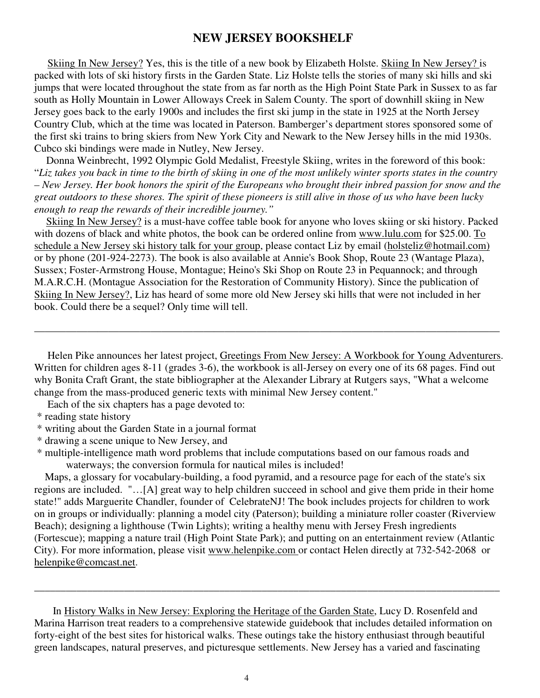#### **NEW JERSEY BOOKSHELF**

 Skiing In New Jersey? Yes, this is the title of a new book by Elizabeth Holste. Skiing In New Jersey? is packed with lots of ski history firsts in the Garden State. Liz Holste tells the stories of many ski hills and ski jumps that were located throughout the state from as far north as the High Point State Park in Sussex to as far south as Holly Mountain in Lower Alloways Creek in Salem County. The sport of downhill skiing in New Jersey goes back to the early 1900s and includes the first ski jump in the state in 1925 at the North Jersey Country Club, which at the time was located in Paterson. Bamberger's department stores sponsored some of the first ski trains to bring skiers from New York City and Newark to the New Jersey hills in the mid 1930s. Cubco ski bindings were made in Nutley, New Jersey.

 Donna Weinbrecht, 1992 Olympic Gold Medalist, Freestyle Skiing, writes in the foreword of this book: "*Liz takes you back in time to the birth of skiing in one of the most unlikely winter sports states in the country – New Jersey. Her book honors the spirit of the Europeans who brought their inbred passion for snow and the great outdoors to these shores. The spirit of these pioneers is still alive in those of us who have been lucky enough to reap the rewards of their incredible journey."* 

Skiing In New Jersey? is a must-have coffee table book for anyone who loves skiing or ski history. Packed with dozens of black and white photos, the book can be ordered online from www.lulu.com for \$25.00. To schedule a New Jersey ski history talk for your group, please contact Liz by email (holsteliz@hotmail.com) or by phone (201-924-2273). The book is also available at Annie's Book Shop, Route 23 (Wantage Plaza), Sussex; Foster-Armstrong House, Montague; Heino's Ski Shop on Route 23 in Pequannock; and through M.A.R.C.H. (Montague Association for the Restoration of Community History). Since the publication of Skiing In New Jersey?, Liz has heard of some more old New Jersey ski hills that were not included in her book. Could there be a sequel? Only time will tell.

 Helen Pike announces her latest project, Greetings From New Jersey: A Workbook for Young Adventurers. Written for children ages 8-11 (grades 3-6), the workbook is all-Jersey on every one of its 68 pages. Find out why Bonita Craft Grant, the state bibliographer at the Alexander Library at Rutgers says, "What a welcome change from the mass-produced generic texts with minimal New Jersey content."

————————————————————————————————————————————

- Each of the six chapters has a page devoted to:
- \* reading state history
- \* writing about the Garden State in a journal format
- \* drawing a scene unique to New Jersey, and
- \* multiple-intelligence math word problems that include computations based on our famous roads and waterways; the conversion formula for nautical miles is included!

 Maps, a glossary for vocabulary-building, a food pyramid, and a resource page for each of the state's six regions are included. "…[A] great way to help children succeed in school and give them pride in their home state!" adds Marguerite Chandler, founder of CelebrateNJ! The book includes projects for children to work on in groups or individually: planning a model city (Paterson); building a miniature roller coaster (Riverview Beach); designing a lighthouse (Twin Lights); writing a healthy menu with Jersey Fresh ingredients (Fortescue); mapping a nature trail (High Point State Park); and putting on an entertainment review (Atlantic City). For more information, please visit www.helenpike.com or contact Helen directly at 732-542-2068 or helenpike@comcast.net.

\_\_\_\_\_\_\_\_\_\_\_\_\_\_\_\_\_\_\_\_\_\_\_\_\_\_\_\_\_\_\_\_\_\_\_\_\_\_\_\_\_\_\_\_\_\_\_\_\_\_\_\_\_\_\_\_\_\_\_\_\_\_\_\_\_\_\_\_\_\_\_\_\_\_\_\_\_\_\_\_\_\_\_\_\_\_\_\_

In History Walks in New Jersey: Exploring the Heritage of the Garden State, Lucy D. Rosenfeld and Marina Harrison treat readers to a comprehensive statewide guidebook that includes detailed information on forty-eight of the best sites for historical walks. These outings take the history enthusiast through beautiful green landscapes, natural preserves, and picturesque settlements. New Jersey has a varied and fascinating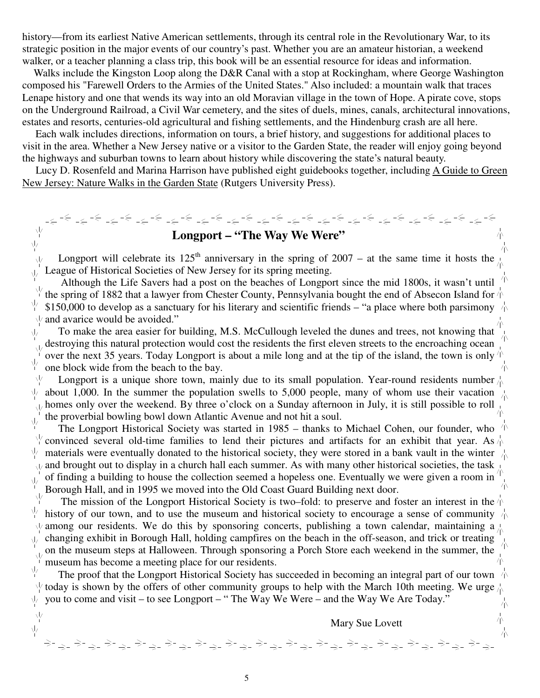history—from its earliest Native American settlements, through its central role in the Revolutionary War, to its strategic position in the major events of our country's past. Whether you are an amateur historian, a weekend walker, or a teacher planning a class trip, this book will be an essential resource for ideas and information.

Walks include the Kingston Loop along the D&R Canal with a stop at Rockingham, where George Washington composed his "Farewell Orders to the Armies of the United States." Also included: a mountain walk that traces Lenape history and one that wends its way into an old Moravian village in the town of Hope. A pirate cove, stops on the Underground Railroad, a Civil War cemetery, and the sites of duels, mines, canals, architectural innovations, estates and resorts, centuries-old agricultural and fishing settlements, and the Hindenburg crash are all here.

 Each walk includes directions, information on tours, a brief history, and suggestions for additional places to visit in the area. Whether a New Jersey native or a visitor to the Garden State, the reader will enjoy going beyond the highways and suburban towns to learn about history while discovering the state's natural beauty.

Lucy D. Rosenfeld and Marina Harrison have published eight guidebooks together, including A Guide to Green New Jersey: Nature Walks in the Garden State (Rutgers University Press).

 **Longport – "The Way We Were"**  ψ

Longport will celebrate its 125<sup>th</sup> anniversary in the spring of 2007 – at the same time it hosts the  $\frac{1}{10}$  $\sqrt{7}$ League of Historical Societies of New Jersey for its spring meeting.

 $\sqrt{}$  Although the Life Savers had a post on the beaches of Longport since the mid 1800s, it wasn't until the spring of 1882 that a lawyer from Chester County, Pennsylvania bought the end of Absecon Island for  $\phi$ \$150,000 to develop as a sanctuary for his literary and scientific friends – "a place where both parsimony  $\psi$  $\vee$  and avarice would be avoided."

 To make the area easier for building, M.S. McCullough leveled the dunes and trees, not knowing that λŀ,  $\frac{d}{dt}$  destroying this natural protection would cost the residents the first eleven streets to the encroaching ocean 六 over the next 35 years. Today Longport is about a mile long and at the tip of the island, the town is only  $\dot{\phi}$ γķ one block wide from the beach to the bay. 六

Longport is a unique shore town, mainly due to its small population. Year-round residents number  $\Lambda$ ΝĶ about 1,000. In the summer the population swells to 5,000 people, many of whom use their vacation  $\frac{1}{\sqrt{2}}$ homes only over the weekend. By three o'clock on a Sunday afternoon in July, it is still possible to roll  $\frac{1}{\sqrt{2}}$ the proverbial bowling bowl down Atlantic Avenue and not hit a soul.

The Longport Historical Society was started in 1985 – thanks to Michael Cohen, our founder, who  $\overline{P}$  $\frac{1}{1}$  convinced several old-time families to lend their pictures and artifacts for an exhibit that year. As  $\frac{1}{1}$ materials were eventually donated to the historical society, they were stored in a bank vault in the winter  $\frac{1}{\sqrt{N}}$  $\frac{1}{4}$  and brought out to display in a church hall each summer. As with many other historical societies, the task  $\frac{1}{4}$ of finding a building to house the collection seemed a hopeless one. Eventually we were given a room in  $\sqrt{7}$ 六 Borough Hall, and in 1995 we moved into the Old Coast Guard Building next door.

The mission of the Longport Historical Society is two–fold: to preserve and foster an interest in the  $\uparrow$  $\frac{1}{4}$  history of our town, and to use the museum and historical society to encourage a sense of community  $\frac{1}{4}$  $\psi$  among our residents. We do this by sponsoring concerts, publishing a town calendar, maintaining a  $\frac{1}{40}$  $\frac{1}{2}$  changing exhibit in Borough Hall, holding campfires on the beach in the off-season, and trick or treating  $\frac{1}{2}$ on the museum steps at Halloween. Through sponsoring a Porch Store each weekend in the summer, the  $\frac{1}{\sqrt{N}}$  museum has become a meeting place for our residents museum has become a meeting place for our residents.

The proof that the Longport Historical Society has succeeded in becoming an integral part of our town  $\wedge$  $\psi$  today is shown by the offers of other community groups to help with the March 10th meeting. We urge  $\psi$  $\psi$  you to come and visit – to see Longport – " The Way We Were – and the Way We Are Today." 小

Mary Sue Lovett

المحارض المحارض المحارض المحارض المحارب المحارب المحارب المحارب المحارب المحارب المحارب المحارب المحارب المحارب

 $\frac{1}{2}$ 

ŅΖ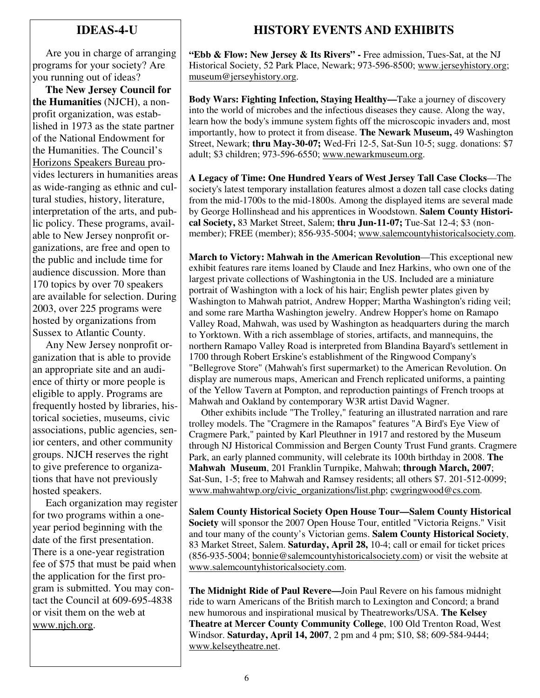#### **IDEAS-4-U**

 Are you in charge of arranging programs for your society? Are you running out of ideas?

 **The New Jersey Council for the Humanities** (NJCH), a nonprofit organization, was established in 1973 as the state partner of the National Endowment for the Humanities. The Council's Horizons Speakers Bureau provides lecturers in humanities areas as wide-ranging as ethnic and cultural studies, history, literature, interpretation of the arts, and public policy. These programs, available to New Jersey nonprofit organizations, are free and open to the public and include time for audience discussion. More than 170 topics by over 70 speakers are available for selection. During 2003, over 225 programs were hosted by organizations from Sussex to Atlantic County.

 Any New Jersey nonprofit organization that is able to provide an appropriate site and an audience of thirty or more people is eligible to apply. Programs are frequently hosted by libraries, historical societies, museums, civic associations, public agencies, senior centers, and other community groups. NJCH reserves the right to give preference to organizations that have not previously hosted speakers.

 Each organization may register for two programs within a oneyear period beginning with the date of the first presentation. There is a one-year registration fee of \$75 that must be paid when the application for the first program is submitted. You may contact the Council at 609-695-4838 or visit them on the web at www.njch.org.

### **HISTORY EVENTS AND EXHIBITS**

**"Ebb & Flow: New Jersey & Its Rivers" -** Free admission, Tues-Sat, at the NJ Historical Society, 52 Park Place, Newark; 973-596-8500; www.jerseyhistory.org; museum@jerseyhistory.org.

**Body Wars: Fighting Infection, Staying Healthy—**Take a journey of discovery into the world of microbes and the infectious diseases they cause. Along the way, learn how the body's immune system fights off the microscopic invaders and, most importantly, how to protect it from disease. **The Newark Museum,** 49 Washington Street, Newark; **thru May-30-07;** Wed-Fri 12-5, Sat-Sun 10-5; sugg. donations: \$7 adult; \$3 children; 973-596-6550; www.newarkmuseum.org.

**A Legacy of Time: One Hundred Years of West Jersey Tall Case Clocks**—The society's latest temporary installation features almost a dozen tall case clocks dating from the mid-1700s to the mid-1800s. Among the displayed items are several made by George Hollinshead and his apprentices in Woodstown. **Salem County Historical Society,** 83 Market Street, Salem; **thru Jun-11-07;** Tue-Sat 12-4; \$3 (nonmember); FREE (member); 856-935-5004; www.salemcountyhistoricalsociety.com.

**March to Victory: Mahwah in the American Revolution**—This exceptional new exhibit features rare items loaned by Claude and Inez Harkins, who own one of the largest private collections of Washingtonia in the US. Included are a miniature portrait of Washington with a lock of his hair; English pewter plates given by Washington to Mahwah patriot, Andrew Hopper; Martha Washington's riding veil; and some rare Martha Washington jewelry. Andrew Hopper's home on Ramapo Valley Road, Mahwah, was used by Washington as headquarters during the march to Yorktown. With a rich assemblage of stories, artifacts, and mannequins, the northern Ramapo Valley Road is interpreted from Blandina Bayard's settlement in 1700 through Robert Erskine's establishment of the Ringwood Company's "Bellegrove Store" (Mahwah's first supermarket) to the American Revolution. On display are numerous maps, American and French replicated uniforms, a painting of the Yellow Tavern at Pompton, and reproduction paintings of French troops at Mahwah and Oakland by contemporary W3R artist David Wagner.

 Other exhibits include "The Trolley," featuring an illustrated narration and rare trolley models. The "Cragmere in the Ramapos" features "A Bird's Eye View of Cragmere Park," painted by Karl Pleuthner in 1917 and restored by the Museum through NJ Historical Commission and Bergen County Trust Fund grants. Cragmere Park, an early planned community, will celebrate its 100th birthday in 2008. **The Mahwah Museum**, 201 Franklin Turnpike, Mahwah; **through March, 2007**; Sat-Sun, 1-5; free to Mahwah and Ramsey residents; all others \$7. 201-512-0099; www.mahwahtwp.org/civic\_organizations/list.php; cwgringwood@cs.com.

**Salem County Historical Society Open House Tour—Salem County Historical Society** will sponsor the 2007 Open House Tour, entitled "Victoria Reigns." Visit and tour many of the county's Victorian gems. **Salem County Historical Society**, 83 Market Street, Salem. **Saturday, April 28,** 10-4; call or email for ticket prices (856-935-5004; bonnie@salemcountyhistoricalsociety.com) or visit the website at www.salemcountyhistoricalsociety.com.

**The Midnight Ride of Paul Revere—**Join Paul Revere on his famous midnight ride to warn Americans of the British march to Lexington and Concord; a brand new humorous and inspirational musical by Theatreworks/USA. **The Kelsey Theatre at Mercer County Community College**, 100 Old Trenton Road, West Windsor. **Saturday, April 14, 2007**, 2 pm and 4 pm; \$10, \$8; 609-584-9444; www.kelseytheatre.net.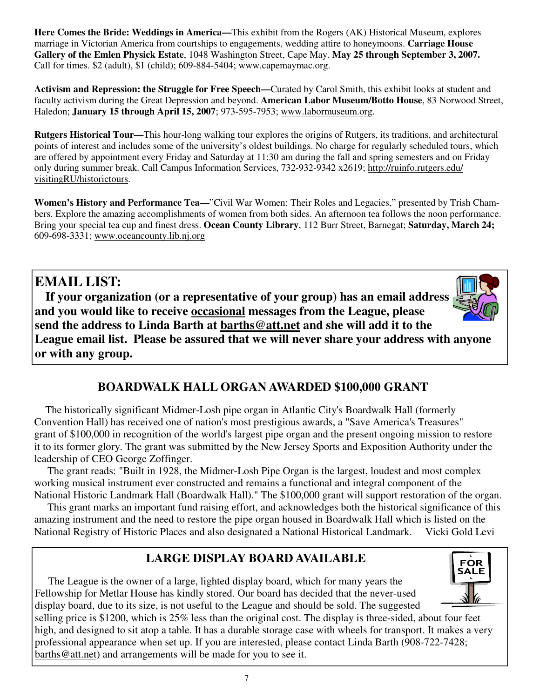**Here Comes the Bride: Weddings in America—**This exhibit from the Rogers (AK) Historical Museum, explores marriage in Victorian America from courtships to engagements, wedding attire to honeymoons. **Carriage House Gallery of the Emlen Physick Estate**, 1048 Washington Street, Cape May. **May 25 through September 3, 2007.**  Call for times. \$2 (adult), \$1 (child); 609-884-5404; www.capemaymac.org.

**Activism and Repression: the Struggle for Free Speech—**Curated by Carol Smith, this exhibit looks at student and faculty activism during the Great Depression and beyond. **American Labor Museum/Botto House**, 83 Norwood Street, Haledon; **January 15 through April 15, 2007**; 973-595-7953; www.labormuseum.org.

**Rutgers Historical Tour—**This hour-long walking tour explores the origins of Rutgers, its traditions, and architectural points of interest and includes some of the university's oldest buildings. No charge for regularly scheduled tours, which are offered by appointment every Friday and Saturday at 11:30 am during the fall and spring semesters and on Friday only during summer break. Call Campus Information Services, 732-932-9342 x2619; http://ruinfo.rutgers.edu/ visitingRU/historictours.

**Women's History and Performance Tea—**"Civil War Women: Their Roles and Legacies," presented by Trish Chambers. Explore the amazing accomplishments of women from both sides. An afternoon tea follows the noon performance. Bring your special tea cup and finest dress. **Ocean County Library**, 112 Burr Street, Barnegat; **Saturday, March 24;** 609-698-3331; www.oceancounty.lib.nj.org

# **EMAIL LIST:**

 **If your organization (or a representative of your group) has an email address and you would like to receive occasional messages from the League, please send the address to Linda Barth at barths@att.net and she will add it to the League email list. Please be assured that we will never share your address with anyone or with any group.** 

#### **BOARDWALK HALL ORGAN AWARDED \$100,000 GRANT**

 The historically significant Midmer-Losh pipe organ in Atlantic City's Boardwalk Hall (formerly Convention Hall) has received one of nation's most prestigious awards, a "Save America's Treasures" grant of \$100,000 in recognition of the world's largest pipe organ and the present ongoing mission to restore it to its former glory. The grant was submitted by the New Jersey Sports and Exposition Authority under the leadership of CEO George Zoffinger.

 The grant reads: "Built in 1928, the Midmer-Losh Pipe Organ is the largest, loudest and most complex working musical instrument ever constructed and remains a functional and integral component of the National Historic Landmark Hall (Boardwalk Hall)." The \$100,000 grant will support restoration of the organ.

 This grant marks an important fund raising effort, and acknowledges both the historical significance of this amazing instrument and the need to restore the pipe organ housed in Boardwalk Hall which is listed on the National Registry of Historic Places and also designated a National Historical Landmark. Vicki Gold Levi

#### **LARGE DISPLAY BOARD AVAILABLE**

 The League is the owner of a large, lighted display board, which for many years the Fellowship for Metlar House has kindly stored. Our board has decided that the never-used display board, due to its size, is not useful to the League and should be sold. The suggested

selling price is \$1200, which is 25% less than the original cost. The display is three-sided, about four feet high, and designed to sit atop a table. It has a durable storage case with wheels for transport. It makes a very professional appearance when set up. If you are interested, please contact Linda Barth (908-722-7428; barths@att.net) and arrangements will be made for you to see it.



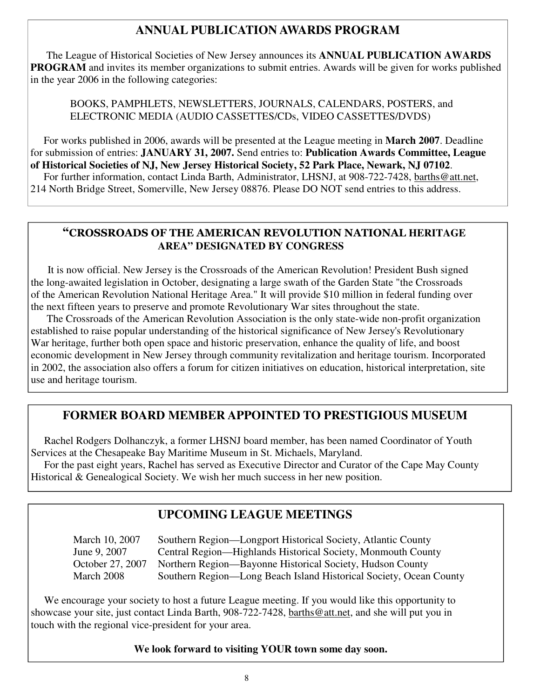#### **ANNUAL PUBLICATION AWARDS PROGRAM**

 The League of Historical Societies of New Jersey announces its **ANNUAL PUBLICATION AWARDS PROGRAM** and invites its member organizations to submit entries. Awards will be given for works published in the year 2006 in the following categories:

 BOOKS, PAMPHLETS, NEWSLETTERS, JOURNALS, CALENDARS, POSTERS, and ELECTRONIC MEDIA (AUDIO CASSETTES/CDs, VIDEO CASSETTES/DVDS)

 For works published in 2006, awards will be presented at the League meeting in **March 2007**. Deadline for submission of entries: **JANUARY 31, 2007.** Send entries to: **Publication Awards Committee, League of Historical Societies of NJ, New Jersey Historical Society, 52 Park Place, Newark, NJ 07102**. For further information, contact Linda Barth, Administrator, LHSNJ, at 908-722-7428, barths@att.net, 214 North Bridge Street, Somerville, New Jersey 08876. Please DO NOT send entries to this address.

#### "CROSSROADS OF THE AMERICAN REVOLUTION NATIONAL **HERITAGE AREA" DESIGNATED BY CONGRESS**

 It is now official. New Jersey is the Crossroads of the American Revolution! President Bush signed the long-awaited legislation in October, designating a large swath of the Garden State "the Crossroads of the American Revolution National Heritage Area." It will provide \$10 million in federal funding over the next fifteen years to preserve and promote Revolutionary War sites throughout the state.

 The Crossroads of the American Revolution Association is the only state-wide non-profit organization established to raise popular understanding of the historical significance of New Jersey's Revolutionary War heritage, further both open space and historic preservation, enhance the quality of life, and boost economic development in New Jersey through community revitalization and heritage tourism. Incorporated in 2002, the association also offers a forum for citizen initiatives on education, historical interpretation, site use and heritage tourism.

#### **FORMER BOARD MEMBER APPOINTED TO PRESTIGIOUS MUSEUM**

 Rachel Rodgers Dolhanczyk, a former LHSNJ board member, has been named Coordinator of Youth Services at the Chesapeake Bay Maritime Museum in St. Michaels, Maryland.

 For the past eight years, Rachel has served as Executive Director and Curator of the Cape May County Historical & Genealogical Society. We wish her much success in her new position.

#### **UPCOMING LEAGUE MEETINGS**

March 10, 2007 Southern Region—Longport Historical Society, Atlantic County June 9, 2007 Central Region—Highlands Historical Society, Monmouth County October 27, 2007 Northern Region—Bayonne Historical Society, Hudson County March 2008 Southern Region—Long Beach Island Historical Society, Ocean County

 We encourage your society to host a future League meeting. If you would like this opportunity to showcase your site, just contact Linda Barth, 908-722-7428, barths@att.net, and she will put you in touch with the regional vice-president for your area.

#### **We look forward to visiting YOUR town some day soon.**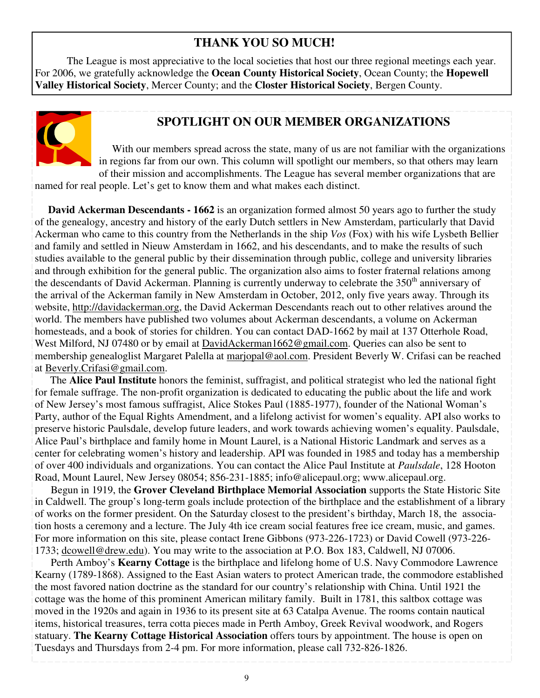#### **THANK YOU SO MUCH!**

The League is most appreciative to the local societies that host our three regional meetings each year. For 2006, we gratefully acknowledge the **Ocean County Historical Society**, Ocean County; the **Hopewell Valley Historical Society**, Mercer County; and the **Closter Historical Society**, Bergen County.



### **SPOTLIGHT ON OUR MEMBER ORGANIZATIONS**

With our members spread across the state, many of us are not familiar with the organizations in regions far from our own. This column will spotlight our members, so that others may learn of their mission and accomplishments. The League has several member organizations that are

named for real people. Let's get to know them and what makes each distinct.

 **David Ackerman Descendants - 1662** is an organization formed almost 50 years ago to further the study of the genealogy, ancestry and history of the early Dutch settlers in New Amsterdam, particularly that David Ackerman who came to this country from the Netherlands in the ship *Vos* (Fox) with his wife Lysbeth Bellier and family and settled in Nieuw Amsterdam in 1662, and his descendants, and to make the results of such studies available to the general public by their dissemination through public, college and university libraries and through exhibition for the general public. The organization also aims to foster fraternal relations among the descendants of David Ackerman. Planning is currently underway to celebrate the  $350<sup>th</sup>$  anniversary of the arrival of the Ackerman family in New Amsterdam in October, 2012, only five years away. Through its website, http://davidackerman.org, the David Ackerman Descendants reach out to other relatives around the world. The members have published two volumes about Ackerman descendants, a volume on Ackerman homesteads, and a book of stories for children. You can contact DAD-1662 by mail at 137 Otterhole Road, West Milford, NJ 07480 or by email at DavidAckerman1662@gmail.com. Queries can also be sent to membership genealoglist Margaret Palella at marjopal@aol.com. President Beverly W. Crifasi can be reached at Beverly.Crifasi@gmail.com.

 The **Alice Paul Institute** honors the feminist, suffragist, and political strategist who led the national fight for female suffrage. The non-profit organization is dedicated to educating the public about the life and work of New Jersey's most famous suffragist, Alice Stokes Paul (1885-1977), founder of the National Woman's Party, author of the Equal Rights Amendment, and a lifelong activist for women's equality. API also works to preserve historic Paulsdale, develop future leaders, and work towards achieving women's equality. Paulsdale, Alice Paul's birthplace and family home in Mount Laurel, is a National Historic Landmark and serves as a center for celebrating women's history and leadership. API was founded in 1985 and today has a membership of over 400 individuals and organizations. You can contact the Alice Paul Institute at *Paulsdale*, 128 Hooton Road, Mount Laurel, New Jersey 08054; 856-231-1885; info@alicepaul.org; www.alicepaul.org.

 Begun in 1919, the **Grover Cleveland Birthplace Memorial Association** supports the State Historic Site in Caldwell. The group's long-term goals include protection of the birthplace and the establishment of a library of works on the former president. On the Saturday closest to the president's birthday, March 18, the association hosts a ceremony and a lecture. The July 4th ice cream social features free ice cream, music, and games. For more information on this site, please contact Irene Gibbons (973-226-1723) or David Cowell (973-226- 1733; dcowell@drew.edu). You may write to the association at P.O. Box 183, Caldwell, NJ 07006.

 Perth Amboy's **Kearny Cottage** is the birthplace and lifelong home of U.S. Navy Commodore Lawrence Kearny (1789-1868). Assigned to the East Asian waters to protect American trade, the commodore established the most favored nation doctrine as the standard for our country's relationship with China. Until 1921 the cottage was the home of this prominent American military family. Built in 1781, this saltbox cottage was moved in the 1920s and again in 1936 to its present site at 63 Catalpa Avenue. The rooms contain nautical items, historical treasures, terra cotta pieces made in Perth Amboy, Greek Revival woodwork, and Rogers statuary. **The Kearny Cottage Historical Association** offers tours by appointment. The house is open on Tuesdays and Thursdays from 2-4 pm. For more information, please call 732-826-1826.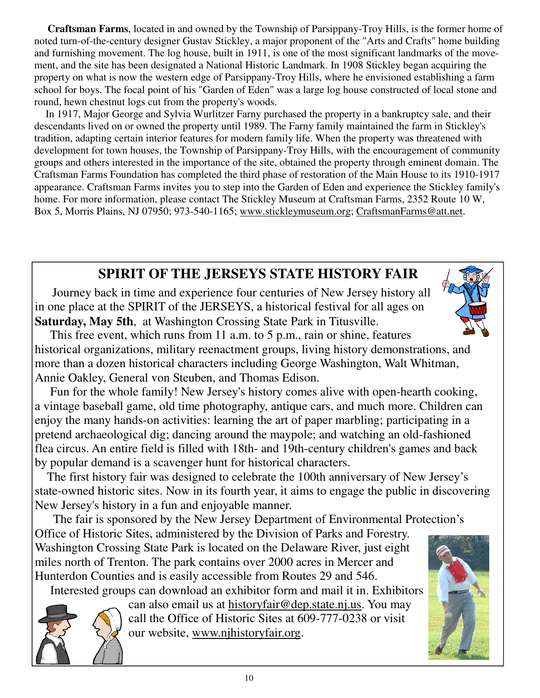**Craftsman Farms**, located in and owned by the Township of Parsippany-Troy Hills, is the former home of noted turn-of-the-century designer Gustav Stickley, a major proponent of the "Arts and Crafts" home building and furnishing movement. The log house, built in 1911, is one of the most significant landmarks of the movement, and the site has been designated a National Historic Landmark. In 1908 Stickley began acquiring the property on what is now the western edge of Parsippany-Troy Hills, where he envisioned establishing a farm school for boys. The focal point of his "Garden of Eden" was a large log house constructed of local stone and round, hewn chestnut logs cut from the property's woods.

In 1917, Major George and Sylvia Wurlitzer Farny purchased the property in a bankruptcy sale, and their descendants lived on or owned the property until 1989. The Farny family maintained the farm in Stickley's tradition, adapting certain interior features for modern family life. When the property was threatened with development for town houses, the Township of Parsippany-Troy Hills, with the encouragement of community groups and others interested in the importance of the site, obtained the property through eminent domain. The Craftsman Farms Foundation has completed the third phase of restoration of the Main House to its 1910-1917 appearance. Craftsman Farms invites you to step into the Garden of Eden and experience the Stickley family's home. For more information, please contact The Stickley Museum at Craftsman Farms, 2352 Route 10 W, Box 5, Morris Plains, NJ 07950; 973-540-1165; www.stickleymuseum.org; CraftsmanFarms@att.net.

# **SPIRIT OF THE JERSEYS STATE HISTORY FAIR**

 Journey back in time and experience four centuries of New Jersey history all in one place at the SPIRIT of the JERSEYS, a historical festival for all ages on **Saturday, May 5th**, at Washington Crossing State Park in Titusville.

 This free event, which runs from 11 a.m. to 5 p.m., rain or shine, features historical organizations, military reenactment groups, living history demonstrations, and more than a dozen historical characters including George Washington, Walt Whitman, Annie Oakley, General von Steuben, and Thomas Edison.

 Fun for the whole family! New Jersey's history comes alive with open-hearth cooking, a vintage baseball game, old time photography, antique cars, and much more. Children can enjoy the many hands-on activities: learning the art of paper marbling; participating in a pretend archaeological dig; dancing around the maypole; and watching an old-fashioned flea circus. An entire field is filled with 18th- and 19th-century children's games and back by popular demand is a scavenger hunt for historical characters.

 The first history fair was designed to celebrate the 100th anniversary of New Jersey's state-owned historic sites. Now in its fourth year, it aims to engage the public in discovering New Jersey's history in a fun and enjoyable manner.

 The fair is sponsored by the New Jersey Department of Environmental Protection's Office of Historic Sites, administered by the Division of Parks and Forestry. Washington Crossing State Park is located on the Delaware River, just eight miles north of Trenton. The park contains over 2000 acres in Mercer and

Hunterdon Counties and is easily accessible from Routes 29 and 546.

 Interested groups can download an exhibitor form and mail it in. Exhibitors can also email us at historyfair@dep.state.nj.us. You may call the Office of Historic Sites at 609-777-0238 or visit our website, www.njhistoryfair.org.



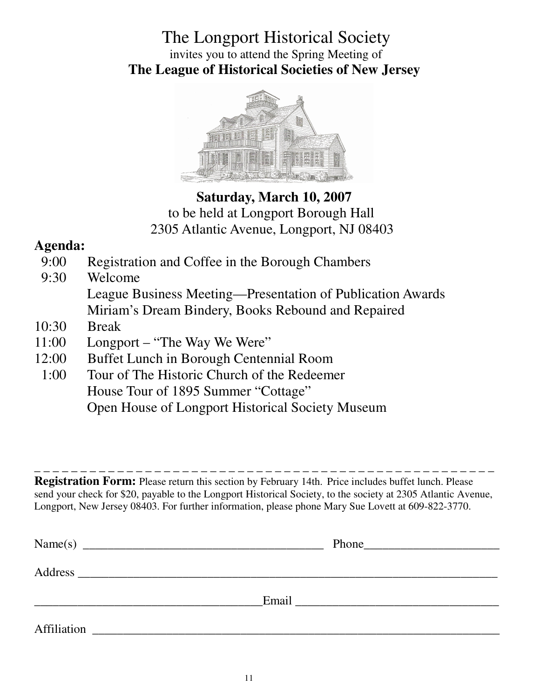The Longport Historical Society invites you to attend the Spring Meeting of **The League of Historical Societies of New Jersey** 



 **Saturday, March 10, 2007** to be held at Longport Borough Hall 2305 Atlantic Avenue, Longport, NJ 08403

# **Agenda:**

- 9:00 Registration and Coffee in the Borough Chambers
- 9:30 Welcome

 League Business Meeting—Presentation of Publication Awards Miriam's Dream Bindery, Books Rebound and Repaired

- 10:30 Break
- 11:00 Longport "The Way We Were"
- 12:00 Buffet Lunch in Borough Centennial Room
- 1:00 Tour of The Historic Church of the Redeemer House Tour of 1895 Summer "Cottage" Open House of Longport Historical Society Museum

\_ \_ \_ \_ \_ \_ \_ \_ \_ \_ \_ \_ \_ \_ \_ \_ \_ \_ \_ \_ \_ \_ \_ \_ \_ \_ \_ \_ \_ \_ \_ \_ \_ \_ \_ \_ \_ \_ \_ \_ \_ \_ \_ \_ \_ \_ \_ \_ \_ \_ **Registration Form:** Please return this section by February 14th. Price includes buffet lunch. Please send your check for \$20, payable to the Longport Historical Society, to the society at 2305 Atlantic Avenue, Longport, New Jersey 08403. For further information, please phone Mary Sue Lovett at 609-822-3770.

| Name(s)     | Phone                                               | <u> 1989 - Johann Stein, markin fan it ferstjer fan de ferstjer fan it ferstjer fan de ferstjer fan de ferstjer</u> |
|-------------|-----------------------------------------------------|---------------------------------------------------------------------------------------------------------------------|
| Address     | <u> 1980 - Jan Amerikaanse kommunister († 1950)</u> |                                                                                                                     |
|             |                                                     |                                                                                                                     |
| Affiliation |                                                     |                                                                                                                     |